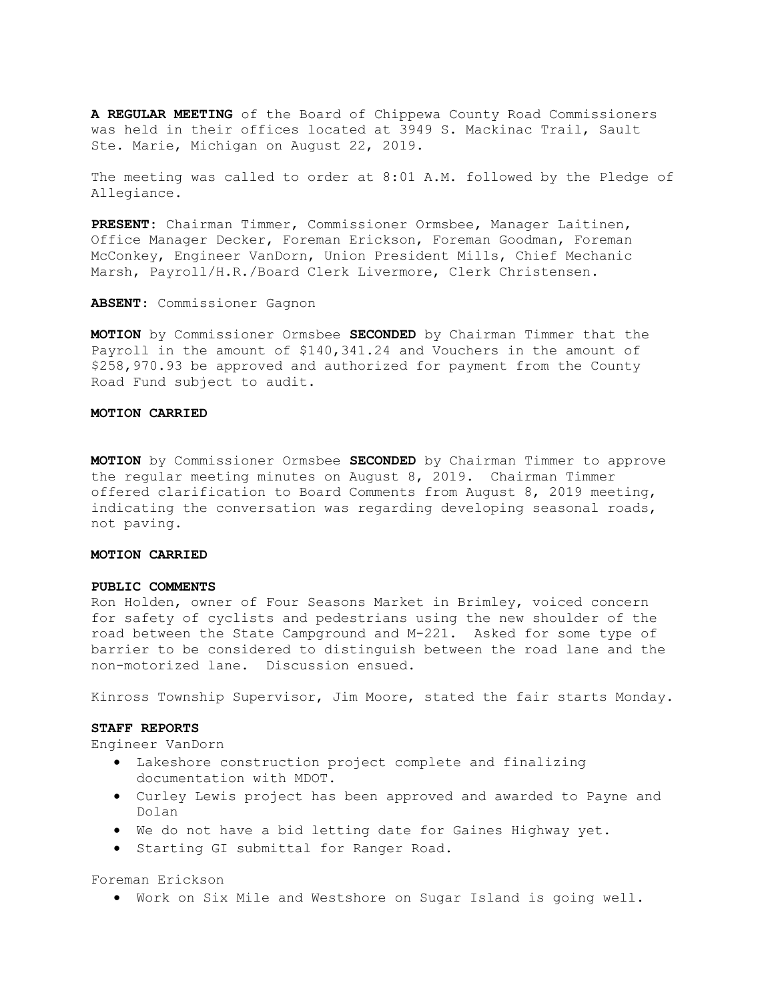A REGULAR MEETING of the Board of Chippewa County Road Commissioners was held in their offices located at 3949 S. Mackinac Trail, Sault Ste. Marie, Michigan on August 22, 2019.

The meeting was called to order at 8:01 A.M. followed by the Pledge of Allegiance.

PRESENT: Chairman Timmer, Commissioner Ormsbee, Manager Laitinen, Office Manager Decker, Foreman Erickson, Foreman Goodman, Foreman McConkey, Engineer VanDorn, Union President Mills, Chief Mechanic Marsh, Payroll/H.R./Board Clerk Livermore, Clerk Christensen.

ABSENT: Commissioner Gagnon

MOTION by Commissioner Ormsbee SECONDED by Chairman Timmer that the Payroll in the amount of \$140,341.24 and Vouchers in the amount of \$258,970.93 be approved and authorized for payment from the County Road Fund subject to audit.

### MOTION CARRIED

MOTION by Commissioner Ormsbee SECONDED by Chairman Timmer to approve the regular meeting minutes on August 8, 2019. Chairman Timmer offered clarification to Board Comments from August 8, 2019 meeting, indicating the conversation was regarding developing seasonal roads, not paving.

## MOTION CARRIED

### PUBLIC COMMENTS

Ron Holden, owner of Four Seasons Market in Brimley, voiced concern for safety of cyclists and pedestrians using the new shoulder of the road between the State Campground and M-221. Asked for some type of barrier to be considered to distinguish between the road lane and the non-motorized lane. Discussion ensued.

Kinross Township Supervisor, Jim Moore, stated the fair starts Monday.

### STAFF REPORTS

Engineer VanDorn

- Lakeshore construction project complete and finalizing documentation with MDOT.
- Curley Lewis project has been approved and awarded to Payne and Dolan
- We do not have a bid letting date for Gaines Highway yet.
- **•** Starting GI submittal for Ranger Road.

Foreman Erickson

Work on Six Mile and Westshore on Sugar Island is going well.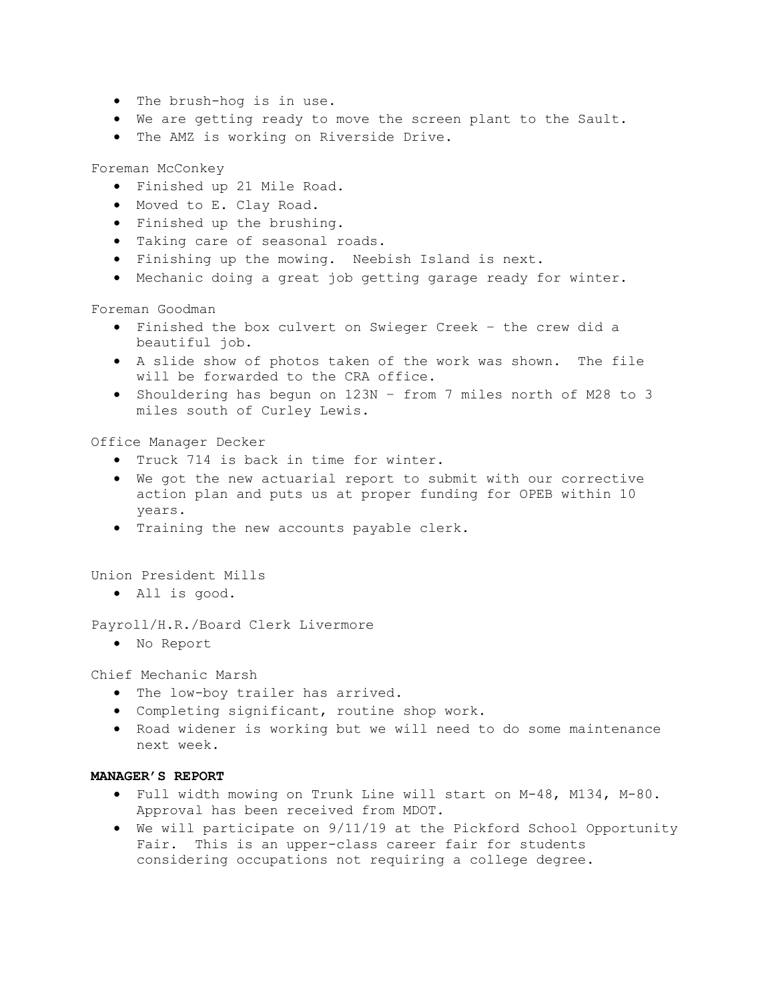- The brush-hog is in use.
- We are getting ready to move the screen plant to the Sault.
- The AMZ is working on Riverside Drive.

Foreman McConkey

- Finished up 21 Mile Road.
- Moved to E. Clay Road.
- Finished up the brushing.
- Taking care of seasonal roads.
- Finishing up the mowing. Neebish Island is next.
- Mechanic doing a great job getting garage ready for winter.

Foreman Goodman

- Finished the box culvert on Swieger Creek the crew did a beautiful job.
- A slide show of photos taken of the work was shown. The file will be forwarded to the CRA office.
- Shouldering has begun on 123N from 7 miles north of M28 to 3 miles south of Curley Lewis.

Office Manager Decker

- Truck 714 is back in time for winter.
- We got the new actuarial report to submit with our corrective action plan and puts us at proper funding for OPEB within 10 years.
- Training the new accounts payable clerk.

Union President Mills

All is good.

Payroll/H.R./Board Clerk Livermore

No Report

Chief Mechanic Marsh

- The low-boy trailer has arrived.
- Completing significant, routine shop work.
- Road widener is working but we will need to do some maintenance next week.

# MANAGER'S REPORT

- Full width mowing on Trunk Line will start on M-48, M134, M-80. Approval has been received from MDOT.
- We will participate on 9/11/19 at the Pickford School Opportunity Fair. This is an upper-class career fair for students considering occupations not requiring a college degree.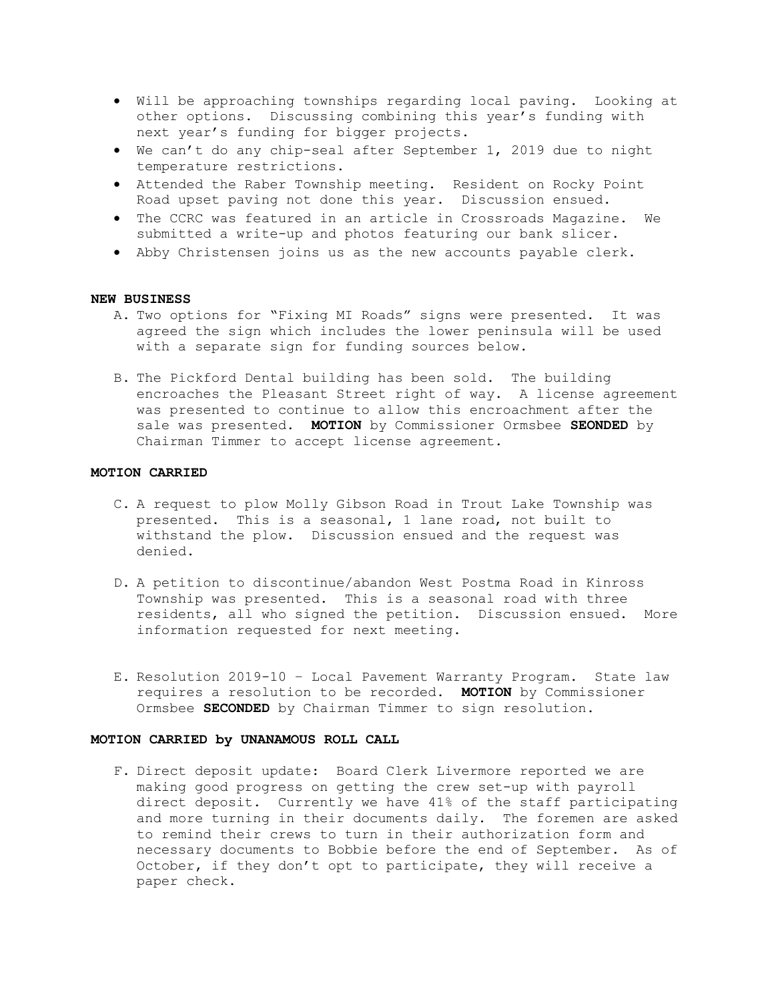- Will be approaching townships regarding local paving. Looking at other options. Discussing combining this year's funding with next year's funding for bigger projects.
- We can't do any chip-seal after September 1, 2019 due to night temperature restrictions.
- Attended the Raber Township meeting. Resident on Rocky Point Road upset paving not done this year. Discussion ensued.
- The CCRC was featured in an article in Crossroads Magazine. We submitted a write-up and photos featuring our bank slicer.
- Abby Christensen joins us as the new accounts payable clerk.

# NEW BUSINESS

- A. Two options for "Fixing MI Roads" signs were presented. It was agreed the sign which includes the lower peninsula will be used with a separate sign for funding sources below.
- B. The Pickford Dental building has been sold. The building encroaches the Pleasant Street right of way. A license agreement was presented to continue to allow this encroachment after the sale was presented. MOTION by Commissioner Ormsbee SEONDED by Chairman Timmer to accept license agreement.

# MOTION CARRIED

- C. A request to plow Molly Gibson Road in Trout Lake Township was presented. This is a seasonal, 1 lane road, not built to withstand the plow. Discussion ensued and the request was denied.
- D. A petition to discontinue/abandon West Postma Road in Kinross Township was presented. This is a seasonal road with three residents, all who signed the petition. Discussion ensued. More information requested for next meeting.
- E. Resolution 2019-10 Local Pavement Warranty Program. State law requires a resolution to be recorded. MOTION by Commissioner Ormsbee SECONDED by Chairman Timmer to sign resolution.

### MOTION CARRIED by UNANAMOUS ROLL CALL

F. Direct deposit update: Board Clerk Livermore reported we are making good progress on getting the crew set-up with payroll direct deposit. Currently we have 41% of the staff participating and more turning in their documents daily. The foremen are asked to remind their crews to turn in their authorization form and necessary documents to Bobbie before the end of September. As of October, if they don't opt to participate, they will receive a paper check.